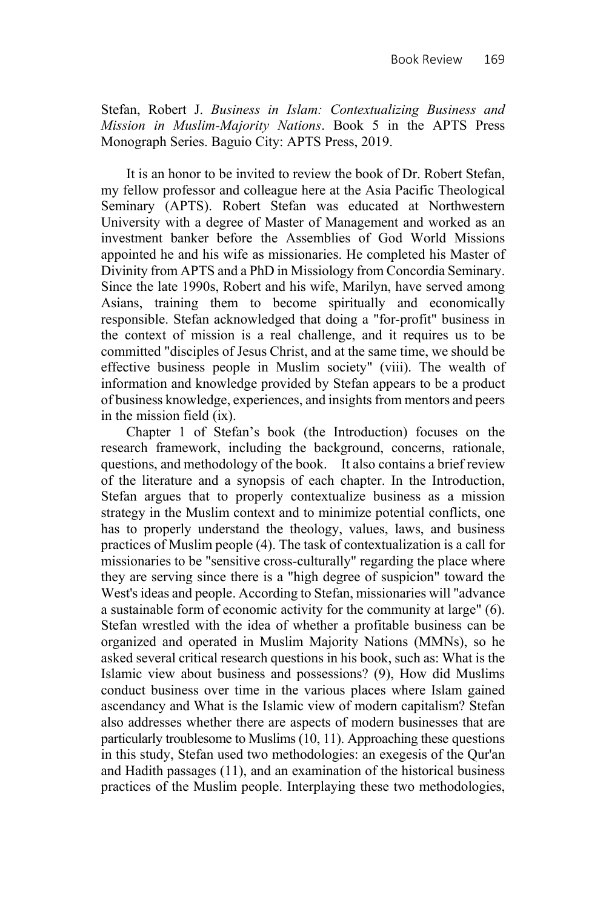Stefan, Robert J. *Business in Islam: Contextualizing Business and Mission in Muslim-Majority Nations*. Book 5 in the APTS Press Monograph Series. Baguio City: APTS Press, 2019.

It is an honor to be invited to review the book of Dr. Robert Stefan, my fellow professor and colleague here at the Asia Pacific Theological Seminary (APTS). Robert Stefan was educated at Northwestern University with a degree of Master of Management and worked as an investment banker before the Assemblies of God World Missions appointed he and his wife as missionaries. He completed his Master of Divinity from APTS and a PhD in Missiology from Concordia Seminary. Since the late 1990s, Robert and his wife, Marilyn, have served among Asians, training them to become spiritually and economically responsible. Stefan acknowledged that doing a "for-profit" business in the context of mission is a real challenge, and it requires us to be committed "disciples of Jesus Christ, and at the same time, we should be effective business people in Muslim society" (viii). The wealth of information and knowledge provided by Stefan appears to be a product of business knowledge, experiences, and insights from mentors and peers in the mission field (ix).

Chapter 1 of Stefan's book (the Introduction) focuses on the research framework, including the background, concerns, rationale, questions, and methodology of the book. It also contains a brief review of the literature and a synopsis of each chapter. In the Introduction, Stefan argues that to properly contextualize business as a mission strategy in the Muslim context and to minimize potential conflicts, one has to properly understand the theology, values, laws, and business practices of Muslim people (4). The task of contextualization is a call for missionaries to be "sensitive cross-culturally" regarding the place where they are serving since there is a "high degree of suspicion" toward the West's ideas and people. According to Stefan, missionaries will "advance a sustainable form of economic activity for the community at large" (6). Stefan wrestled with the idea of whether a profitable business can be organized and operated in Muslim Majority Nations (MMNs), so he asked several critical research questions in his book, such as: What is the Islamic view about business and possessions? (9), How did Muslims conduct business over time in the various places where Islam gained ascendancy and What is the Islamic view of modern capitalism? Stefan also addresses whether there are aspects of modern businesses that are particularly troublesome to Muslims (10, 11). Approaching these questions in this study, Stefan used two methodologies: an exegesis of the Qur'an and Hadith passages (11), and an examination of the historical business practices of the Muslim people. Interplaying these two methodologies,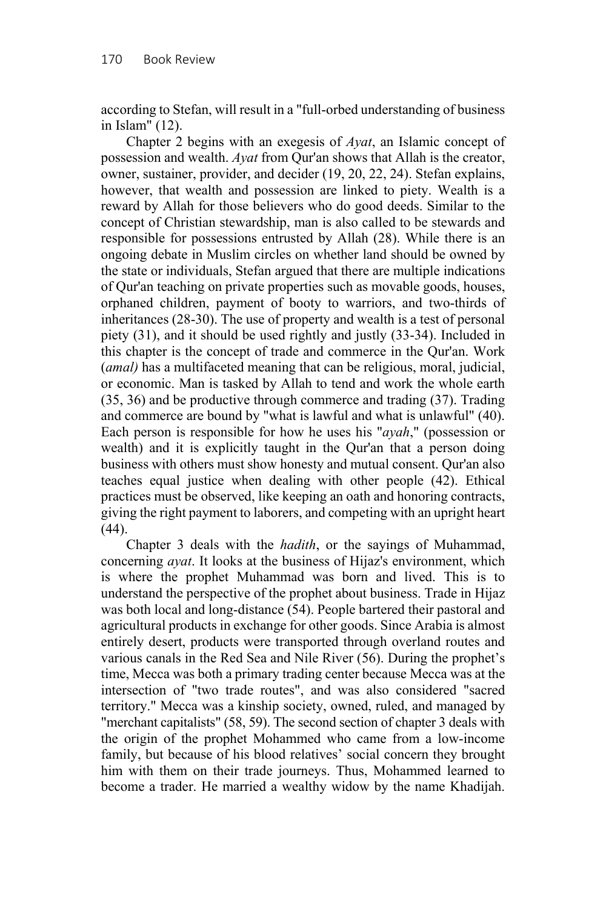according to Stefan, will result in a "full-orbed understanding of business in Islam" (12).

Chapter 2 begins with an exegesis of *Ayat*, an Islamic concept of possession and wealth. *Ayat* from Qur'an shows that Allah is the creator, owner, sustainer, provider, and decider (19, 20, 22, 24). Stefan explains, however, that wealth and possession are linked to piety. Wealth is a reward by Allah for those believers who do good deeds. Similar to the concept of Christian stewardship, man is also called to be stewards and responsible for possessions entrusted by Allah (28). While there is an ongoing debate in Muslim circles on whether land should be owned by the state or individuals, Stefan argued that there are multiple indications of Qur'an teaching on private properties such as movable goods, houses, orphaned children, payment of booty to warriors, and two-thirds of inheritances (28-30). The use of property and wealth is a test of personal piety (31), and it should be used rightly and justly (33-34). Included in this chapter is the concept of trade and commerce in the Qur'an. Work (*amal)* has a multifaceted meaning that can be religious, moral, judicial, or economic. Man is tasked by Allah to tend and work the whole earth (35, 36) and be productive through commerce and trading (37). Trading and commerce are bound by "what is lawful and what is unlawful" (40). Each person is responsible for how he uses his "*ayah*," (possession or wealth) and it is explicitly taught in the Qur'an that a person doing business with others must show honesty and mutual consent. Qur'an also teaches equal justice when dealing with other people (42). Ethical practices must be observed, like keeping an oath and honoring contracts, giving the right payment to laborers, and competing with an upright heart (44).

Chapter 3 deals with the *hadith*, or the sayings of Muhammad, concerning *ayat*. It looks at the business of Hijaz's environment, which is where the prophet Muhammad was born and lived. This is to understand the perspective of the prophet about business. Trade in Hijaz was both local and long-distance (54). People bartered their pastoral and agricultural products in exchange for other goods. Since Arabia is almost entirely desert, products were transported through overland routes and various canals in the Red Sea and Nile River (56). During the prophet's time, Mecca was both a primary trading center because Mecca was at the intersection of "two trade routes", and was also considered "sacred territory." Mecca was a kinship society, owned, ruled, and managed by "merchant capitalists" (58, 59). The second section of chapter 3 deals with the origin of the prophet Mohammed who came from a low-income family, but because of his blood relatives' social concern they brought him with them on their trade journeys. Thus, Mohammed learned to become a trader. He married a wealthy widow by the name Khadijah.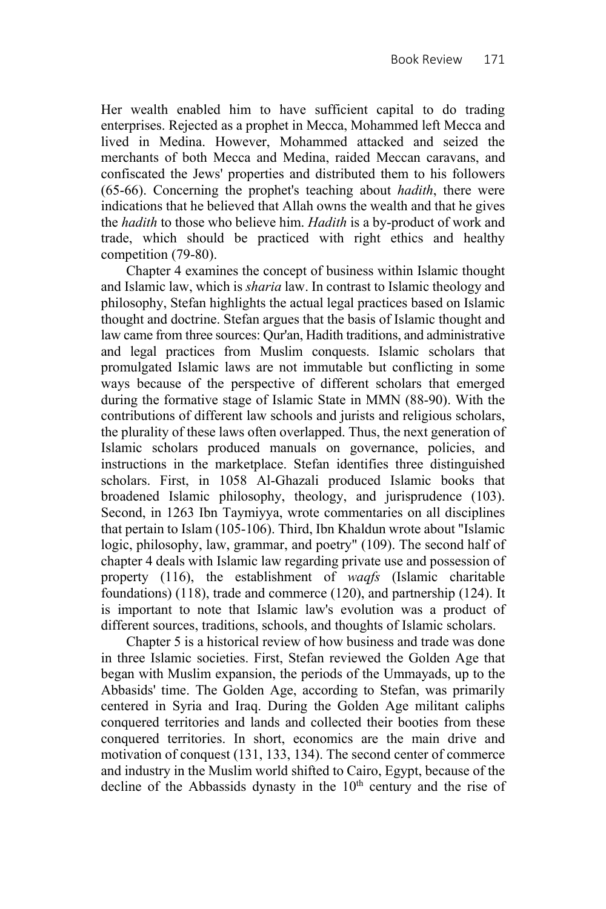Her wealth enabled him to have sufficient capital to do trading enterprises. Rejected as a prophet in Mecca, Mohammed left Mecca and lived in Medina. However, Mohammed attacked and seized the merchants of both Mecca and Medina, raided Meccan caravans, and confiscated the Jews' properties and distributed them to his followers (65-66). Concerning the prophet's teaching about *hadith*, there were indications that he believed that Allah owns the wealth and that he gives the *hadith* to those who believe him. *Hadith* is a by-product of work and trade, which should be practiced with right ethics and healthy competition (79-80).

Chapter 4 examines the concept of business within Islamic thought and Islamic law, which is *sharia* law. In contrast to Islamic theology and philosophy, Stefan highlights the actual legal practices based on Islamic thought and doctrine. Stefan argues that the basis of Islamic thought and law came from three sources: Qur'an, Hadith traditions, and administrative and legal practices from Muslim conquests. Islamic scholars that promulgated Islamic laws are not immutable but conflicting in some ways because of the perspective of different scholars that emerged during the formative stage of Islamic State in MMN (88-90). With the contributions of different law schools and jurists and religious scholars, the plurality of these laws often overlapped. Thus, the next generation of Islamic scholars produced manuals on governance, policies, and instructions in the marketplace. Stefan identifies three distinguished scholars. First, in 1058 Al-Ghazali produced Islamic books that broadened Islamic philosophy, theology, and jurisprudence (103). Second, in 1263 Ibn Taymiyya, wrote commentaries on all disciplines that pertain to Islam (105-106). Third, Ibn Khaldun wrote about "Islamic logic, philosophy, law, grammar, and poetry" (109). The second half of chapter 4 deals with Islamic law regarding private use and possession of property (116), the establishment of *waqfs* (Islamic charitable foundations) (118), trade and commerce (120), and partnership (124). It is important to note that Islamic law's evolution was a product of different sources, traditions, schools, and thoughts of Islamic scholars.

Chapter 5 is a historical review of how business and trade was done in three Islamic societies. First, Stefan reviewed the Golden Age that began with Muslim expansion, the periods of the Ummayads, up to the Abbasids' time. The Golden Age, according to Stefan, was primarily centered in Syria and Iraq. During the Golden Age militant caliphs conquered territories and lands and collected their booties from these conquered territories. In short, economics are the main drive and motivation of conquest (131, 133, 134). The second center of commerce and industry in the Muslim world shifted to Cairo, Egypt, because of the decline of the Abbassids dynasty in the  $10<sup>th</sup>$  century and the rise of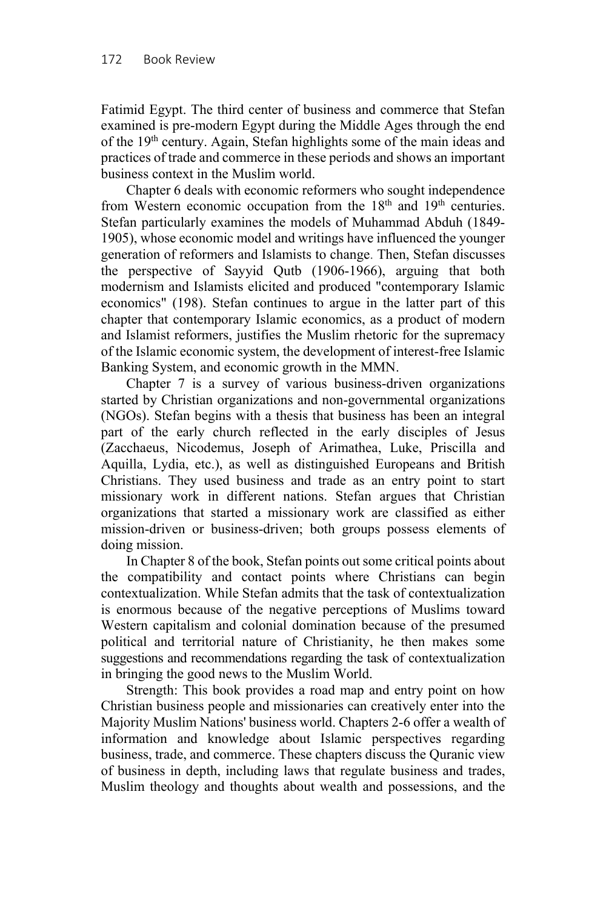Fatimid Egypt. The third center of business and commerce that Stefan examined is pre-modern Egypt during the Middle Ages through the end of the 19<sup>th</sup> century. Again, Stefan highlights some of the main ideas and practices of trade and commerce in these periods and shows an important business context in the Muslim world.

Chapter 6 deals with economic reformers who sought independence from Western economic occupation from the  $18<sup>th</sup>$  and  $19<sup>th</sup>$  centuries. Stefan particularly examines the models of Muhammad Abduh (1849- 1905), whose economic model and writings have influenced the younger generation of reformers and Islamists to change. Then, Stefan discusses the perspective of Sayyid Qutb (1906-1966), arguing that both modernism and Islamists elicited and produced "contemporary Islamic economics" (198). Stefan continues to argue in the latter part of this chapter that contemporary Islamic economics, as a product of modern and Islamist reformers, justifies the Muslim rhetoric for the supremacy of the Islamic economic system, the development of interest-free Islamic Banking System, and economic growth in the MMN.

Chapter 7 is a survey of various business-driven organizations started by Christian organizations and non-governmental organizations (NGOs). Stefan begins with a thesis that business has been an integral part of the early church reflected in the early disciples of Jesus (Zacchaeus, Nicodemus, Joseph of Arimathea, Luke, Priscilla and Aquilla, Lydia, etc.), as well as distinguished Europeans and British Christians. They used business and trade as an entry point to start missionary work in different nations. Stefan argues that Christian organizations that started a missionary work are classified as either mission-driven or business-driven; both groups possess elements of doing mission.

In Chapter 8 of the book, Stefan points out some critical points about the compatibility and contact points where Christians can begin contextualization. While Stefan admits that the task of contextualization is enormous because of the negative perceptions of Muslims toward Western capitalism and colonial domination because of the presumed political and territorial nature of Christianity, he then makes some suggestions and recommendations regarding the task of contextualization in bringing the good news to the Muslim World.

Strength: This book provides a road map and entry point on how Christian business people and missionaries can creatively enter into the Majority Muslim Nations' business world. Chapters 2-6 offer a wealth of information and knowledge about Islamic perspectives regarding business, trade, and commerce. These chapters discuss the Quranic view of business in depth, including laws that regulate business and trades, Muslim theology and thoughts about wealth and possessions, and the